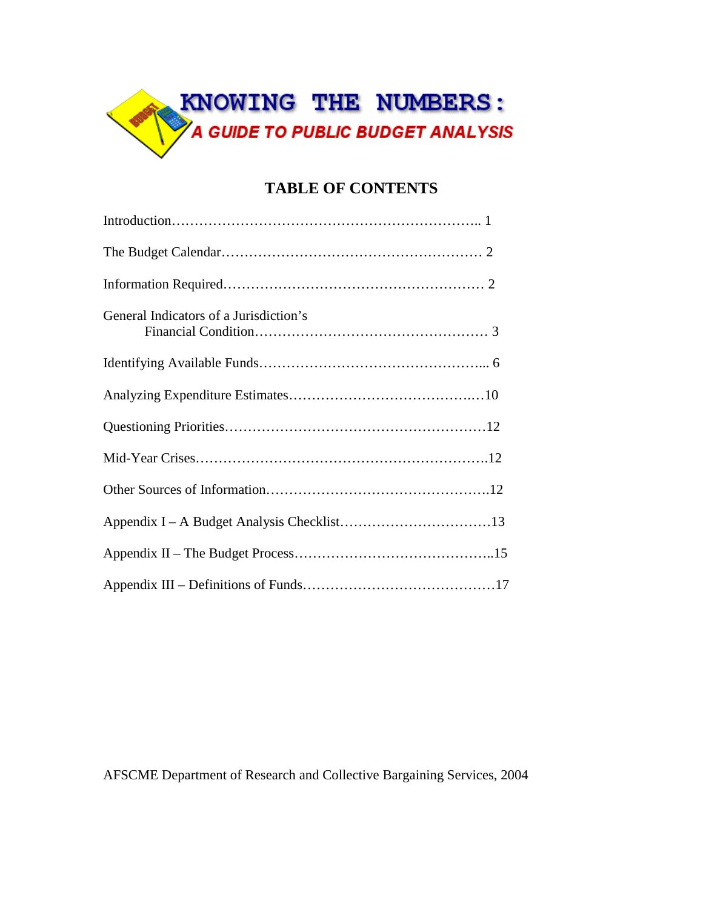

#### **TABLE OF CONTENTS**

| General Indicators of a Jurisdiction's |  |
|----------------------------------------|--|
|                                        |  |
|                                        |  |
|                                        |  |
|                                        |  |
|                                        |  |
|                                        |  |
|                                        |  |
|                                        |  |

AFSCME Department of Research and Collective Bargaining Services, 2004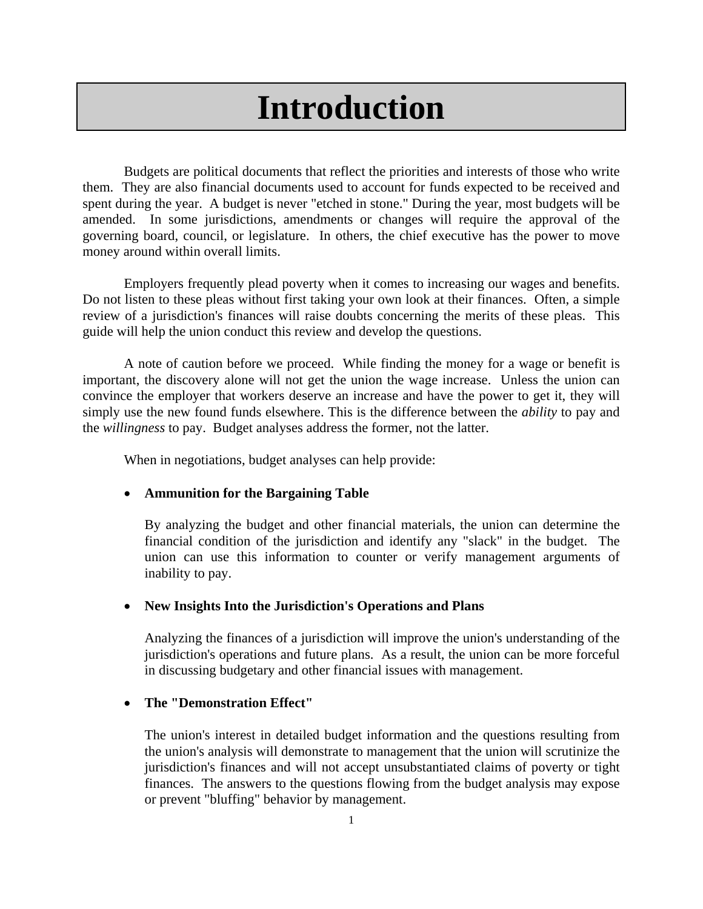# **Introduction**

 Budgets are political documents that reflect the priorities and interests of those who write them. They are also financial documents used to account for funds expected to be received and spent during the year. A budget is never "etched in stone." During the year, most budgets will be amended. In some jurisdictions, amendments or changes will require the approval of the governing board, council, or legislature. In others, the chief executive has the power to move money around within overall limits.

 Employers frequently plead poverty when it comes to increasing our wages and benefits. Do not listen to these pleas without first taking your own look at their finances. Often, a simple review of a jurisdiction's finances will raise doubts concerning the merits of these pleas. This guide will help the union conduct this review and develop the questions.

 A note of caution before we proceed. While finding the money for a wage or benefit is important, the discovery alone will not get the union the wage increase. Unless the union can convince the employer that workers deserve an increase and have the power to get it, they will simply use the new found funds elsewhere. This is the difference between the *ability* to pay and the *willingness* to pay. Budget analyses address the former, not the latter.

When in negotiations, budget analyses can help provide:

#### • **Ammunition for the Bargaining Table**

 By analyzing the budget and other financial materials, the union can determine the financial condition of the jurisdiction and identify any "slack" in the budget. The union can use this information to counter or verify management arguments of inability to pay.

#### • **New Insights Into the Jurisdiction's Operations and Plans**

Analyzing the finances of a jurisdiction will improve the union's understanding of the jurisdiction's operations and future plans. As a result, the union can be more forceful in discussing budgetary and other financial issues with management.

#### • **The "Demonstration Effect"**

The union's interest in detailed budget information and the questions resulting from the union's analysis will demonstrate to management that the union will scrutinize the jurisdiction's finances and will not accept unsubstantiated claims of poverty or tight finances. The answers to the questions flowing from the budget analysis may expose or prevent "bluffing" behavior by management.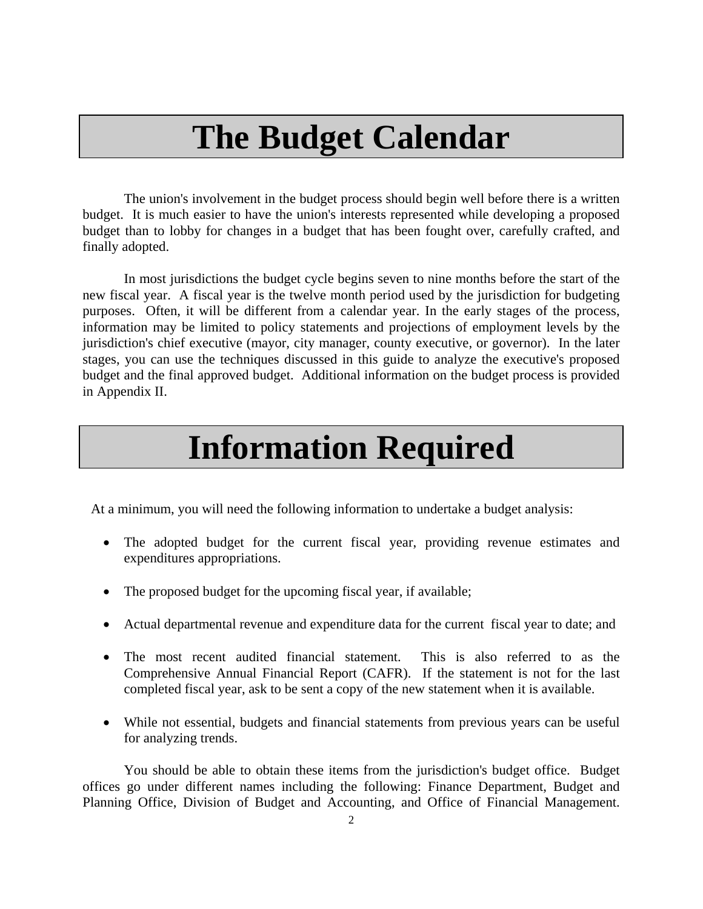# **The Budget Calendar**

 The union's involvement in the budget process should begin well before there is a written budget. It is much easier to have the union's interests represented while developing a proposed budget than to lobby for changes in a budget that has been fought over, carefully crafted, and finally adopted.

 In most jurisdictions the budget cycle begins seven to nine months before the start of the new fiscal year. A fiscal year is the twelve month period used by the jurisdiction for budgeting purposes. Often, it will be different from a calendar year. In the early stages of the process, information may be limited to policy statements and projections of employment levels by the jurisdiction's chief executive (mayor, city manager, county executive, or governor). In the later stages, you can use the techniques discussed in this guide to analyze the executive's proposed budget and the final approved budget. Additional information on the budget process is provided in Appendix II.

## **Information Required**

At a minimum, you will need the following information to undertake a budget analysis:

- The adopted budget for the current fiscal year, providing revenue estimates and expenditures appropriations.
- The proposed budget for the upcoming fiscal year, if available;
- Actual departmental revenue and expenditure data for the current fiscal year to date; and
- The most recent audited financial statement. This is also referred to as the Comprehensive Annual Financial Report (CAFR). If the statement is not for the last completed fiscal year, ask to be sent a copy of the new statement when it is available.
- While not essential, budgets and financial statements from previous years can be useful for analyzing trends.

 You should be able to obtain these items from the jurisdiction's budget office. Budget offices go under different names including the following: Finance Department, Budget and Planning Office, Division of Budget and Accounting, and Office of Financial Management.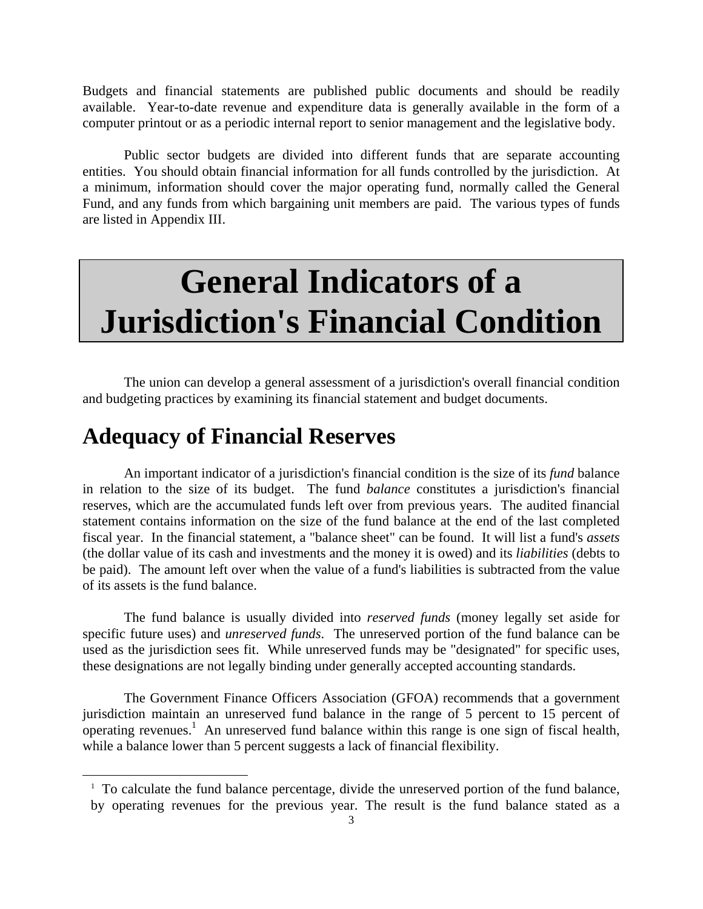Budgets and financial statements are published public documents and should be readily available. Year-to-date revenue and expenditure data is generally available in the form of a computer printout or as a periodic internal report to senior management and the legislative body.

 Public sector budgets are divided into different funds that are separate accounting entities. You should obtain financial information for all funds controlled by the jurisdiction. At a minimum, information should cover the major operating fund, normally called the General Fund, and any funds from which bargaining unit members are paid. The various types of funds are listed in Appendix III.

# **General Indicators of a Jurisdiction's Financial Condition**

 The union can develop a general assessment of a jurisdiction's overall financial condition and budgeting practices by examining its financial statement and budget documents.

#### **Adequacy of Financial Reserves**

 $\overline{\phantom{a}}$ 

 An important indicator of a jurisdiction's financial condition is the size of its *fund* balance in relation to the size of its budget. The fund *balance* constitutes a jurisdiction's financial reserves, which are the accumulated funds left over from previous years. The audited financial statement contains information on the size of the fund balance at the end of the last completed fiscal year. In the financial statement, a "balance sheet" can be found. It will list a fund's *assets* (the dollar value of its cash and investments and the money it is owed) and its *liabilities* (debts to be paid). The amount left over when the value of a fund's liabilities is subtracted from the value of its assets is the fund balance.

 The fund balance is usually divided into *reserved funds* (money legally set aside for specific future uses) and *unreserved funds*. The unreserved portion of the fund balance can be used as the jurisdiction sees fit. While unreserved funds may be "designated" for specific uses, these designations are not legally binding under generally accepted accounting standards.

 The Government Finance Officers Association (GFOA) recommends that a government jurisdiction maintain an unreserved fund balance in the range of 5 percent to 15 percent of operating revenues.<sup>[1](#page-3-0)</sup> An unreserved fund balance within this range is one sign of fiscal health, while a balance lower than 5 percent suggests a lack of financial flexibility.

<span id="page-3-0"></span><sup>&</sup>lt;sup>1</sup> To calculate the fund balance percentage, divide the unreserved portion of the fund balance, by operating revenues for the previous year. The result is the fund balance stated as a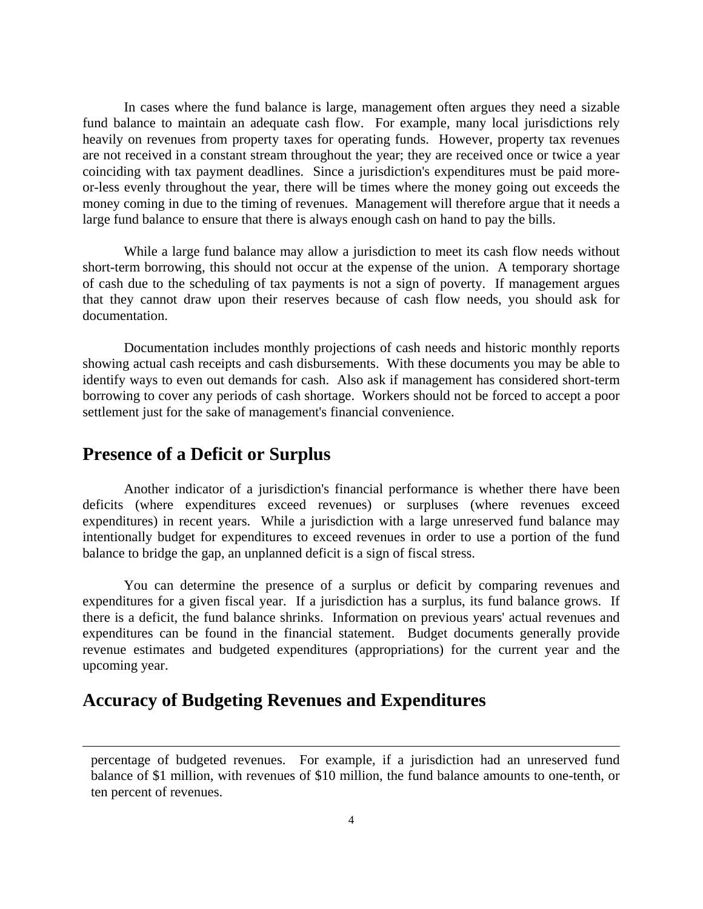In cases where the fund balance is large, management often argues they need a sizable fund balance to maintain an adequate cash flow. For example, many local jurisdictions rely heavily on revenues from property taxes for operating funds. However, property tax revenues are not received in a constant stream throughout the year; they are received once or twice a year coinciding with tax payment deadlines. Since a jurisdiction's expenditures must be paid moreor-less evenly throughout the year, there will be times where the money going out exceeds the money coming in due to the timing of revenues. Management will therefore argue that it needs a large fund balance to ensure that there is always enough cash on hand to pay the bills.

 While a large fund balance may allow a jurisdiction to meet its cash flow needs without short-term borrowing, this should not occur at the expense of the union. A temporary shortage of cash due to the scheduling of tax payments is not a sign of poverty. If management argues that they cannot draw upon their reserves because of cash flow needs, you should ask for documentation.

 Documentation includes monthly projections of cash needs and historic monthly reports showing actual cash receipts and cash disbursements. With these documents you may be able to identify ways to even out demands for cash. Also ask if management has considered short-term borrowing to cover any periods of cash shortage. Workers should not be forced to accept a poor settlement just for the sake of management's financial convenience.

#### **Presence of a Deficit or Surplus**

 $\overline{a}$ 

 Another indicator of a jurisdiction's financial performance is whether there have been deficits (where expenditures exceed revenues) or surpluses (where revenues exceed expenditures) in recent years. While a jurisdiction with a large unreserved fund balance may intentionally budget for expenditures to exceed revenues in order to use a portion of the fund balance to bridge the gap, an unplanned deficit is a sign of fiscal stress.

 You can determine the presence of a surplus or deficit by comparing revenues and expenditures for a given fiscal year. If a jurisdiction has a surplus, its fund balance grows. If there is a deficit, the fund balance shrinks. Information on previous years' actual revenues and expenditures can be found in the financial statement. Budget documents generally provide revenue estimates and budgeted expenditures (appropriations) for the current year and the upcoming year.

#### **Accuracy of Budgeting Revenues and Expenditures**

percentage of budgeted revenues. For example, if a jurisdiction had an unreserved fund balance of \$1 million, with revenues of \$10 million, the fund balance amounts to one-tenth, or ten percent of revenues.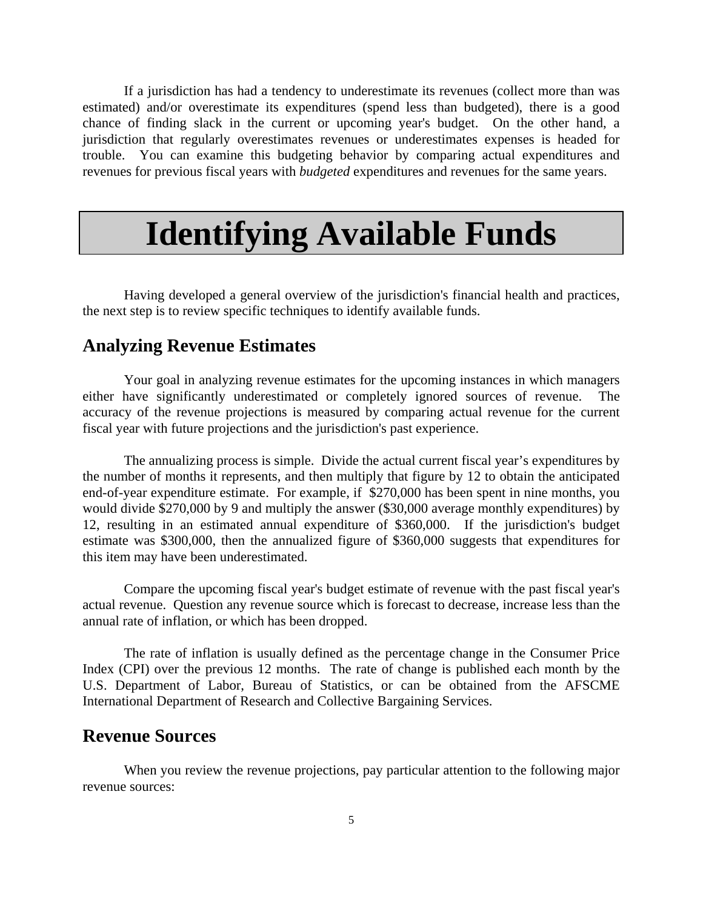If a jurisdiction has had a tendency to underestimate its revenues (collect more than was estimated) and/or overestimate its expenditures (spend less than budgeted), there is a good chance of finding slack in the current or upcoming year's budget. On the other hand, a jurisdiction that regularly overestimates revenues or underestimates expenses is headed for trouble. You can examine this budgeting behavior by comparing actual expenditures and revenues for previous fiscal years with *budgeted* expenditures and revenues for the same years.

# **Identifying Available Funds**

 Having developed a general overview of the jurisdiction's financial health and practices, the next step is to review specific techniques to identify available funds.

#### **Analyzing Revenue Estimates**

 Your goal in analyzing revenue estimates for the upcoming instances in which managers either have significantly underestimated or completely ignored sources of revenue. The accuracy of the revenue projections is measured by comparing actual revenue for the current fiscal year with future projections and the jurisdiction's past experience.

 The annualizing process is simple. Divide the actual current fiscal year's expenditures by the number of months it represents, and then multiply that figure by 12 to obtain the anticipated end-of-year expenditure estimate. For example, if \$270,000 has been spent in nine months, you would divide \$270,000 by 9 and multiply the answer (\$30,000 average monthly expenditures) by 12, resulting in an estimated annual expenditure of \$360,000. If the jurisdiction's budget estimate was \$300,000, then the annualized figure of \$360,000 suggests that expenditures for this item may have been underestimated.

 Compare the upcoming fiscal year's budget estimate of revenue with the past fiscal year's actual revenue. Question any revenue source which is forecast to decrease, increase less than the annual rate of inflation, or which has been dropped.

 The rate of inflation is usually defined as the percentage change in the Consumer Price Index (CPI) over the previous 12 months. The rate of change is published each month by the U.S. Department of Labor, Bureau of Statistics, or can be obtained from the AFSCME International Department of Research and Collective Bargaining Services.

#### **Revenue Sources**

 When you review the revenue projections, pay particular attention to the following major revenue sources: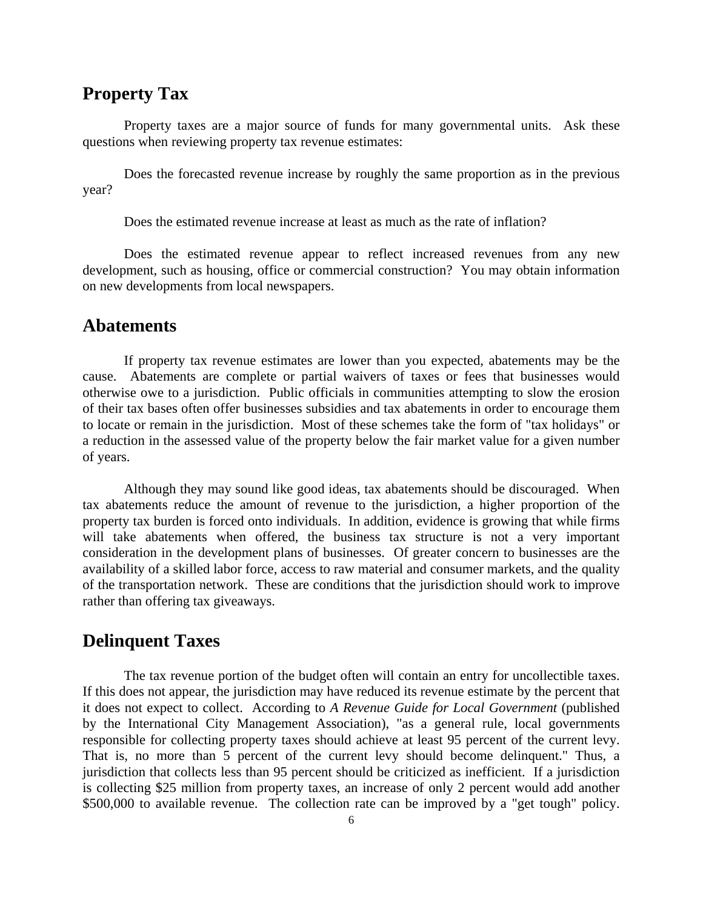#### **Property Tax**

 Property taxes are a major source of funds for many governmental units. Ask these questions when reviewing property tax revenue estimates:

 Does the forecasted revenue increase by roughly the same proportion as in the previous year?

Does the estimated revenue increase at least as much as the rate of inflation?

 Does the estimated revenue appear to reflect increased revenues from any new development, such as housing, office or commercial construction? You may obtain information on new developments from local newspapers.

#### **Abatements**

 If property tax revenue estimates are lower than you expected, abatements may be the cause. Abatements are complete or partial waivers of taxes or fees that businesses would otherwise owe to a jurisdiction. Public officials in communities attempting to slow the erosion of their tax bases often offer businesses subsidies and tax abatements in order to encourage them to locate or remain in the jurisdiction. Most of these schemes take the form of "tax holidays" or a reduction in the assessed value of the property below the fair market value for a given number of years.

 Although they may sound like good ideas, tax abatements should be discouraged. When tax abatements reduce the amount of revenue to the jurisdiction, a higher proportion of the property tax burden is forced onto individuals. In addition, evidence is growing that while firms will take abatements when offered, the business tax structure is not a very important consideration in the development plans of businesses. Of greater concern to businesses are the availability of a skilled labor force, access to raw material and consumer markets, and the quality of the transportation network. These are conditions that the jurisdiction should work to improve rather than offering tax giveaways.

#### **Delinquent Taxes**

 The tax revenue portion of the budget often will contain an entry for uncollectible taxes. If this does not appear, the jurisdiction may have reduced its revenue estimate by the percent that it does not expect to collect. According to *A Revenue Guide for Local Government* (published by the International City Management Association), "as a general rule, local governments responsible for collecting property taxes should achieve at least 95 percent of the current levy. That is, no more than 5 percent of the current levy should become delinquent." Thus, a jurisdiction that collects less than 95 percent should be criticized as inefficient. If a jurisdiction is collecting \$25 million from property taxes, an increase of only 2 percent would add another \$500,000 to available revenue. The collection rate can be improved by a "get tough" policy.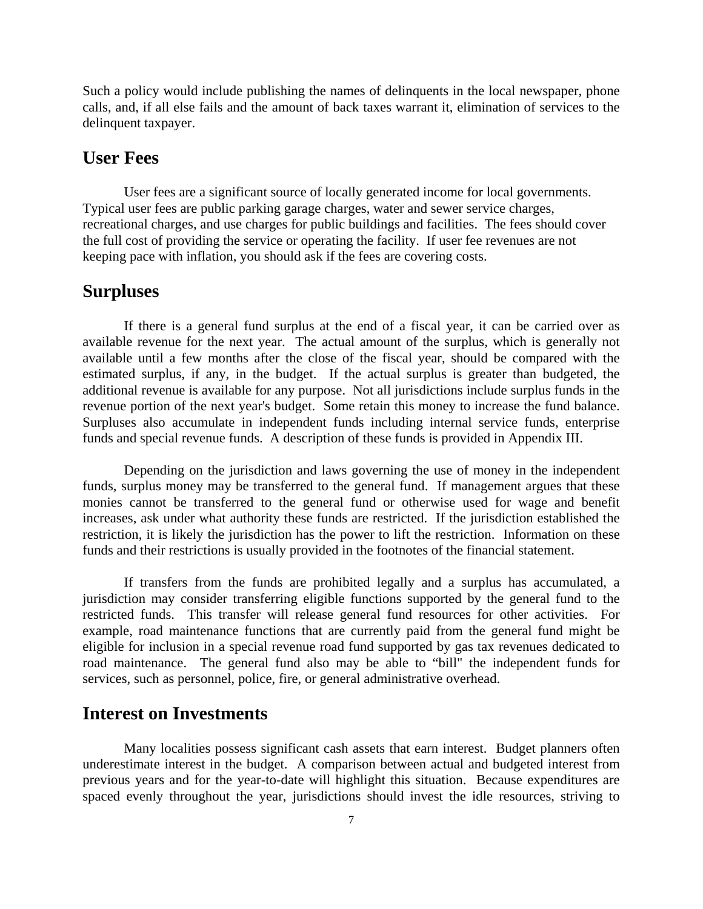Such a policy would include publishing the names of delinquents in the local newspaper, phone calls, and, if all else fails and the amount of back taxes warrant it, elimination of services to the delinquent taxpayer.

#### **User Fees**

 User fees are a significant source of locally generated income for local governments. Typical user fees are public parking garage charges, water and sewer service charges, recreational charges, and use charges for public buildings and facilities. The fees should cover the full cost of providing the service or operating the facility. If user fee revenues are not keeping pace with inflation, you should ask if the fees are covering costs.

#### **Surpluses**

 If there is a general fund surplus at the end of a fiscal year, it can be carried over as available revenue for the next year. The actual amount of the surplus, which is generally not available until a few months after the close of the fiscal year, should be compared with the estimated surplus, if any, in the budget. If the actual surplus is greater than budgeted, the additional revenue is available for any purpose. Not all jurisdictions include surplus funds in the revenue portion of the next year's budget. Some retain this money to increase the fund balance. Surpluses also accumulate in independent funds including internal service funds, enterprise funds and special revenue funds. A description of these funds is provided in Appendix III.

 Depending on the jurisdiction and laws governing the use of money in the independent funds, surplus money may be transferred to the general fund. If management argues that these monies cannot be transferred to the general fund or otherwise used for wage and benefit increases, ask under what authority these funds are restricted. If the jurisdiction established the restriction, it is likely the jurisdiction has the power to lift the restriction. Information on these funds and their restrictions is usually provided in the footnotes of the financial statement.

 If transfers from the funds are prohibited legally and a surplus has accumulated, a jurisdiction may consider transferring eligible functions supported by the general fund to the restricted funds. This transfer will release general fund resources for other activities. For example, road maintenance functions that are currently paid from the general fund might be eligible for inclusion in a special revenue road fund supported by gas tax revenues dedicated to road maintenance. The general fund also may be able to "bill" the independent funds for services, such as personnel, police, fire, or general administrative overhead.

#### **Interest on Investments**

 Many localities possess significant cash assets that earn interest. Budget planners often underestimate interest in the budget. A comparison between actual and budgeted interest from previous years and for the year-to-date will highlight this situation. Because expenditures are spaced evenly throughout the year, jurisdictions should invest the idle resources, striving to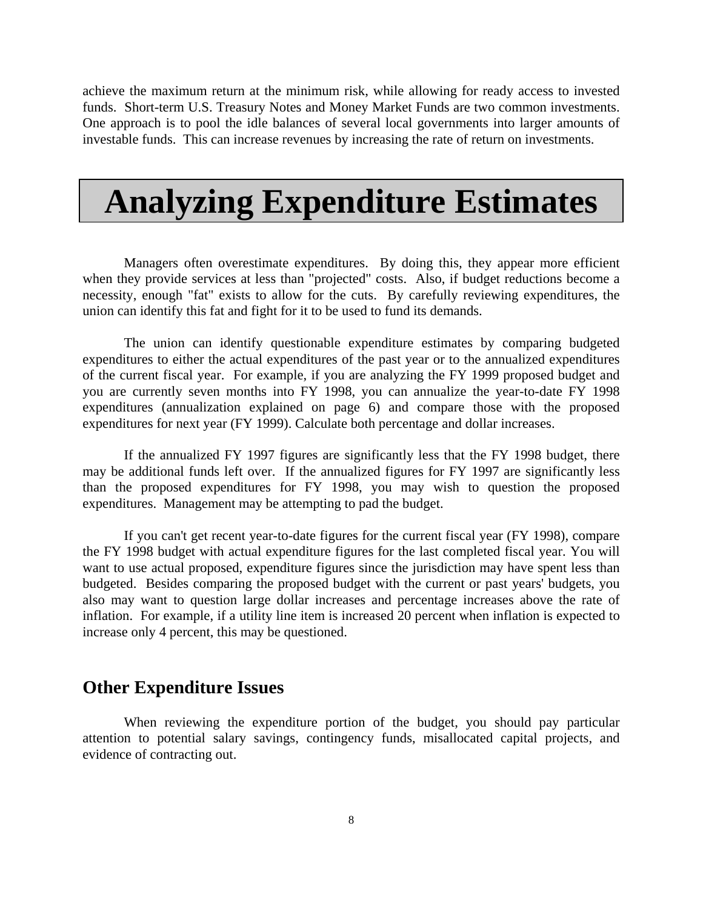achieve the maximum return at the minimum risk, while allowing for ready access to invested funds. Short-term U.S. Treasury Notes and Money Market Funds are two common investments. One approach is to pool the idle balances of several local governments into larger amounts of investable funds. This can increase revenues by increasing the rate of return on investments.

### **Analyzing Expenditure Estimates**

 Managers often overestimate expenditures. By doing this, they appear more efficient when they provide services at less than "projected" costs. Also, if budget reductions become a necessity, enough "fat" exists to allow for the cuts. By carefully reviewing expenditures, the union can identify this fat and fight for it to be used to fund its demands.

 The union can identify questionable expenditure estimates by comparing budgeted expenditures to either the actual expenditures of the past year or to the annualized expenditures of the current fiscal year. For example, if you are analyzing the FY 1999 proposed budget and you are currently seven months into FY 1998, you can annualize the year-to-date FY 1998 expenditures (annualization explained on page 6) and compare those with the proposed expenditures for next year (FY 1999). Calculate both percentage and dollar increases.

 If the annualized FY 1997 figures are significantly less that the FY 1998 budget, there may be additional funds left over. If the annualized figures for FY 1997 are significantly less than the proposed expenditures for FY 1998, you may wish to question the proposed expenditures. Management may be attempting to pad the budget.

 If you can't get recent year-to-date figures for the current fiscal year (FY 1998), compare the FY 1998 budget with actual expenditure figures for the last completed fiscal year. You will want to use actual proposed, expenditure figures since the jurisdiction may have spent less than budgeted. Besides comparing the proposed budget with the current or past years' budgets, you also may want to question large dollar increases and percentage increases above the rate of inflation. For example, if a utility line item is increased 20 percent when inflation is expected to increase only 4 percent, this may be questioned.

#### **Other Expenditure Issues**

 When reviewing the expenditure portion of the budget, you should pay particular attention to potential salary savings, contingency funds, misallocated capital projects, and evidence of contracting out.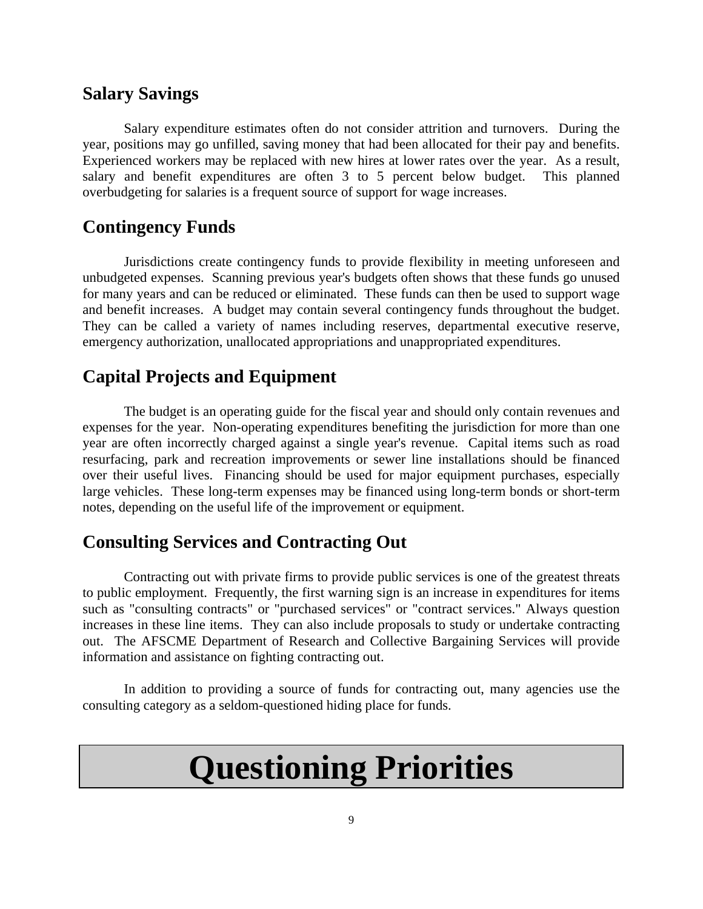#### **Salary Savings**

 Salary expenditure estimates often do not consider attrition and turnovers. During the year, positions may go unfilled, saving money that had been allocated for their pay and benefits. Experienced workers may be replaced with new hires at lower rates over the year. As a result, salary and benefit expenditures are often 3 to 5 percent below budget. This planned overbudgeting for salaries is a frequent source of support for wage increases.

#### **Contingency Funds**

 Jurisdictions create contingency funds to provide flexibility in meeting unforeseen and unbudgeted expenses. Scanning previous year's budgets often shows that these funds go unused for many years and can be reduced or eliminated. These funds can then be used to support wage and benefit increases. A budget may contain several contingency funds throughout the budget. They can be called a variety of names including reserves, departmental executive reserve, emergency authorization, unallocated appropriations and unappropriated expenditures.

#### **Capital Projects and Equipment**

 The budget is an operating guide for the fiscal year and should only contain revenues and expenses for the year. Non-operating expenditures benefiting the jurisdiction for more than one year are often incorrectly charged against a single year's revenue. Capital items such as road resurfacing, park and recreation improvements or sewer line installations should be financed over their useful lives. Financing should be used for major equipment purchases, especially large vehicles. These long-term expenses may be financed using long-term bonds or short-term notes, depending on the useful life of the improvement or equipment.

#### **Consulting Services and Contracting Out**

 Contracting out with private firms to provide public services is one of the greatest threats to public employment. Frequently, the first warning sign is an increase in expenditures for items such as "consulting contracts" or "purchased services" or "contract services." Always question increases in these line items. They can also include proposals to study or undertake contracting out. The AFSCME Department of Research and Collective Bargaining Services will provide information and assistance on fighting contracting out.

 In addition to providing a source of funds for contracting out, many agencies use the consulting category as a seldom-questioned hiding place for funds.

# **Questioning Priorities**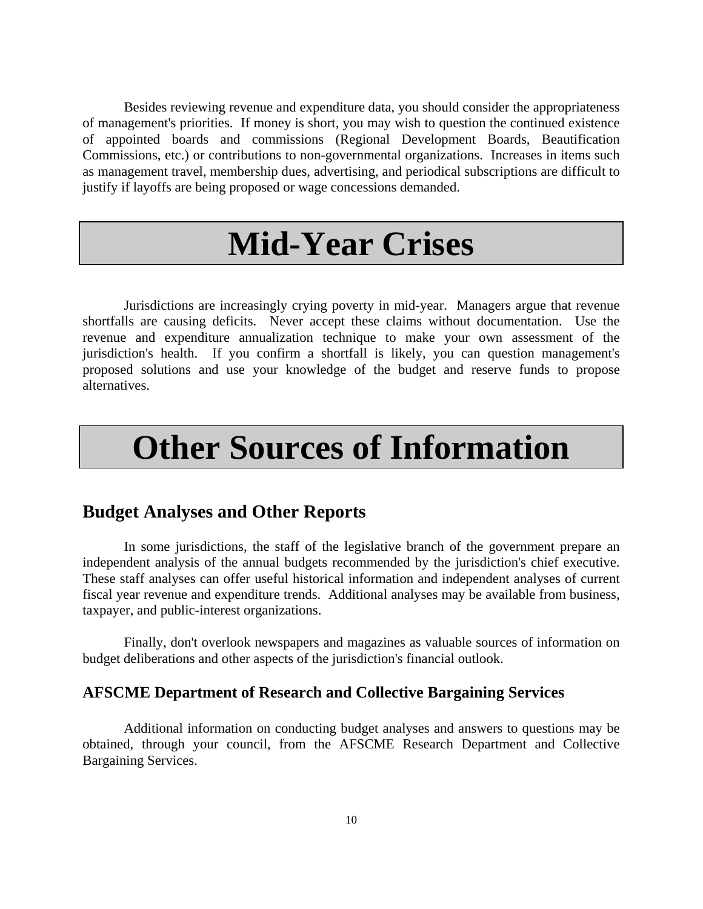Besides reviewing revenue and expenditure data, you should consider the appropriateness of management's priorities. If money is short, you may wish to question the continued existence of appointed boards and commissions (Regional Development Boards, Beautification Commissions, etc.) or contributions to non-governmental organizations. Increases in items such as management travel, membership dues, advertising, and periodical subscriptions are difficult to justify if layoffs are being proposed or wage concessions demanded.

### **Mid-Year Crises**

 Jurisdictions are increasingly crying poverty in mid-year. Managers argue that revenue shortfalls are causing deficits. Never accept these claims without documentation. Use the revenue and expenditure annualization technique to make your own assessment of the jurisdiction's health. If you confirm a shortfall is likely, you can question management's proposed solutions and use your knowledge of the budget and reserve funds to propose alternatives.

## **Other Sources of Information**

#### **Budget Analyses and Other Reports**

 In some jurisdictions, the staff of the legislative branch of the government prepare an independent analysis of the annual budgets recommended by the jurisdiction's chief executive. These staff analyses can offer useful historical information and independent analyses of current fiscal year revenue and expenditure trends. Additional analyses may be available from business, taxpayer, and public-interest organizations.

 Finally, don't overlook newspapers and magazines as valuable sources of information on budget deliberations and other aspects of the jurisdiction's financial outlook.

#### **AFSCME Department of Research and Collective Bargaining Services**

 Additional information on conducting budget analyses and answers to questions may be obtained, through your council, from the AFSCME Research Department and Collective Bargaining Services.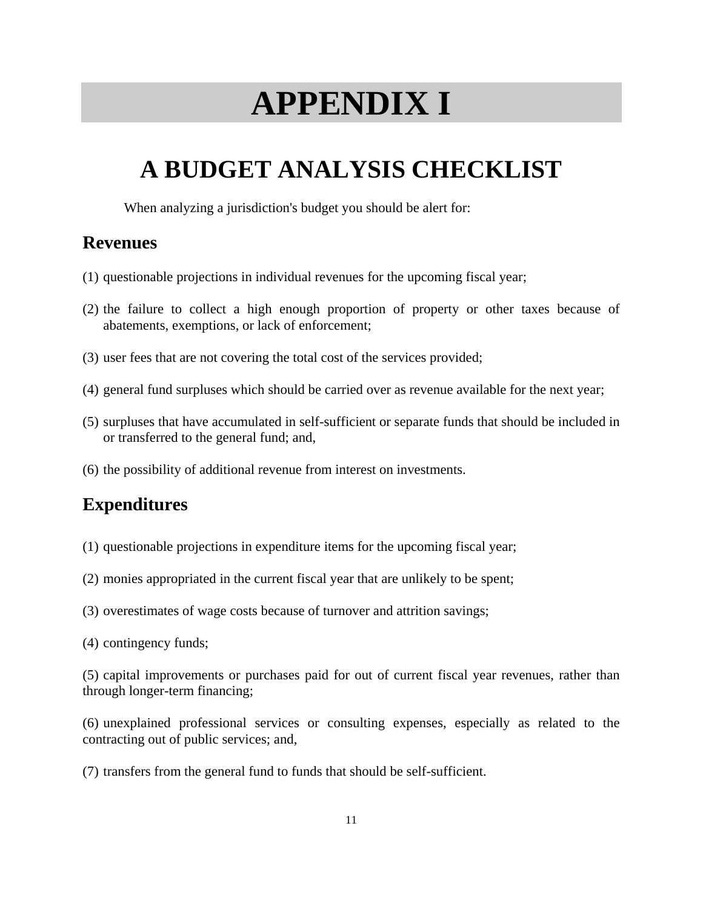# **APPENDIX I**

### **A BUDGET ANALYSIS CHECKLIST**

When analyzing a jurisdiction's budget you should be alert for:

#### **Revenues**

- (1) questionable projections in individual revenues for the upcoming fiscal year;
- (2) the failure to collect a high enough proportion of property or other taxes because of abatements, exemptions, or lack of enforcement;
- (3) user fees that are not covering the total cost of the services provided;
- (4) general fund surpluses which should be carried over as revenue available for the next year;
- (5) surpluses that have accumulated in self-sufficient or separate funds that should be included in or transferred to the general fund; and,
- (6) the possibility of additional revenue from interest on investments.

#### **Expenditures**

- (1) questionable projections in expenditure items for the upcoming fiscal year;
- (2) monies appropriated in the current fiscal year that are unlikely to be spent;
- (3) overestimates of wage costs because of turnover and attrition savings;
- (4) contingency funds;

(5) capital improvements or purchases paid for out of current fiscal year revenues, rather than through longer-term financing;

(6) unexplained professional services or consulting expenses, especially as related to the contracting out of public services; and,

(7) transfers from the general fund to funds that should be self-sufficient.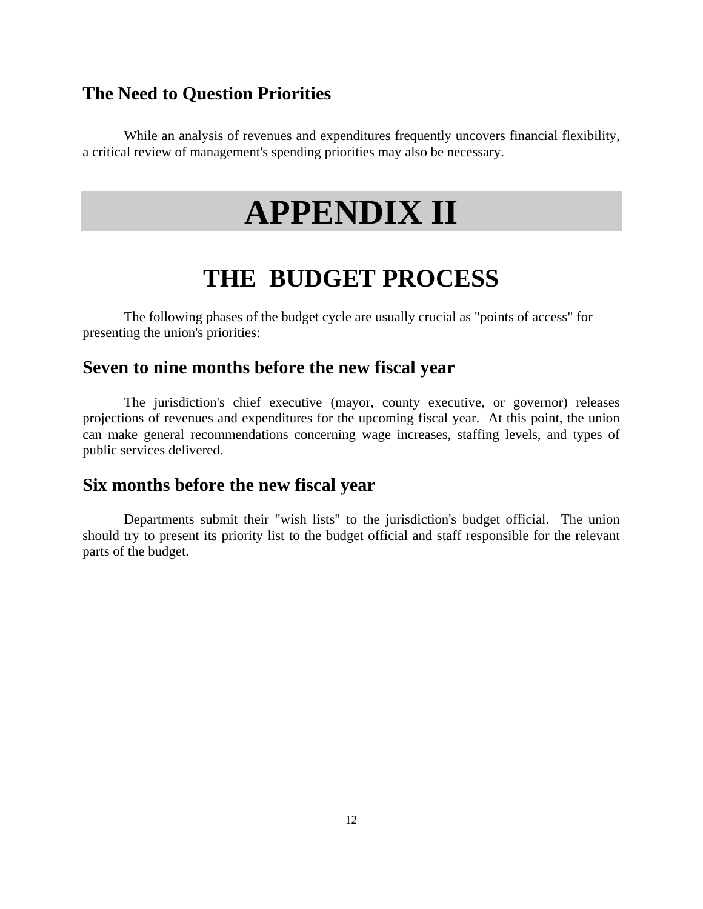#### **The Need to Question Priorities**

 While an analysis of revenues and expenditures frequently uncovers financial flexibility, a critical review of management's spending priorities may also be necessary.

## **APPENDIX II**

### **THE BUDGET PROCESS**

 The following phases of the budget cycle are usually crucial as "points of access" for presenting the union's priorities:

#### **Seven to nine months before the new fiscal year**

 The jurisdiction's chief executive (mayor, county executive, or governor) releases projections of revenues and expenditures for the upcoming fiscal year. At this point, the union can make general recommendations concerning wage increases, staffing levels, and types of public services delivered.

#### **Six months before the new fiscal year**

 Departments submit their "wish lists" to the jurisdiction's budget official. The union should try to present its priority list to the budget official and staff responsible for the relevant parts of the budget.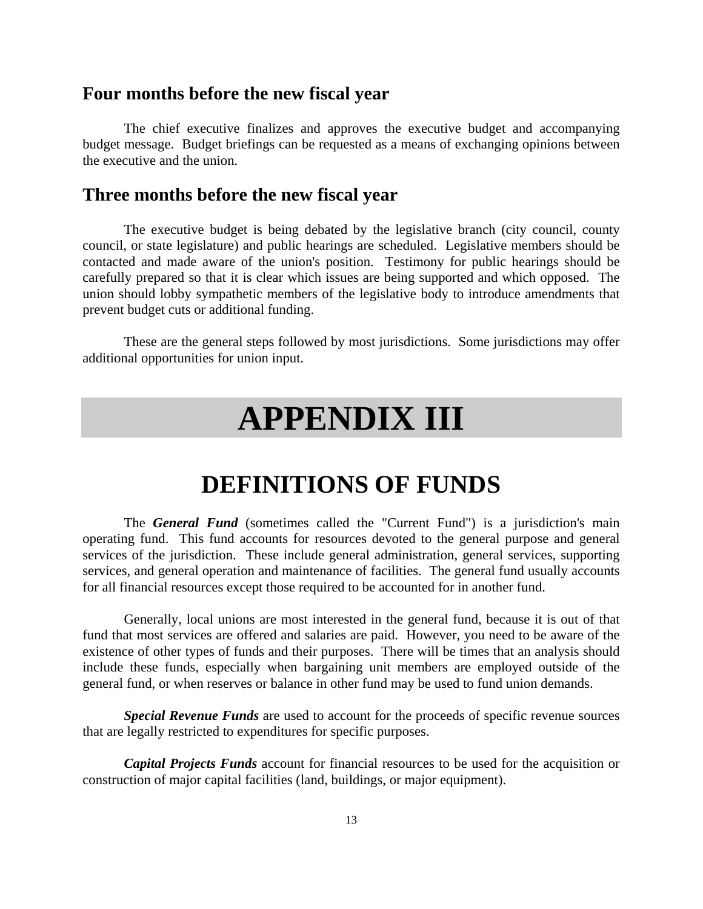#### **Four months before the new fiscal year**

 The chief executive finalizes and approves the executive budget and accompanying budget message. Budget briefings can be requested as a means of exchanging opinions between the executive and the union.

#### **Three months before the new fiscal year**

 The executive budget is being debated by the legislative branch (city council, county council, or state legislature) and public hearings are scheduled. Legislative members should be contacted and made aware of the union's position. Testimony for public hearings should be carefully prepared so that it is clear which issues are being supported and which opposed. The union should lobby sympathetic members of the legislative body to introduce amendments that prevent budget cuts or additional funding.

 These are the general steps followed by most jurisdictions. Some jurisdictions may offer additional opportunities for union input.

### **APPENDIX III**

### **DEFINITIONS OF FUNDS**

 The *General Fund* (sometimes called the "Current Fund") is a jurisdiction's main operating fund. This fund accounts for resources devoted to the general purpose and general services of the jurisdiction. These include general administration, general services, supporting services, and general operation and maintenance of facilities. The general fund usually accounts for all financial resources except those required to be accounted for in another fund.

 Generally, local unions are most interested in the general fund, because it is out of that fund that most services are offered and salaries are paid. However, you need to be aware of the existence of other types of funds and their purposes. There will be times that an analysis should include these funds, especially when bargaining unit members are employed outside of the general fund, or when reserves or balance in other fund may be used to fund union demands.

*Special Revenue Funds* are used to account for the proceeds of specific revenue sources that are legally restricted to expenditures for specific purposes.

*Capital Projects Funds* account for financial resources to be used for the acquisition or construction of major capital facilities (land, buildings, or major equipment).